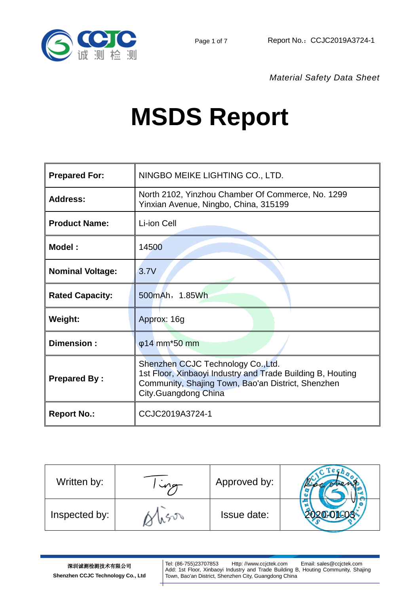



*Material Safety Data Sheet*

# **MSDS Report**

| <b>Prepared For:</b>    | NINGBO MEIKE LIGHTING CO., LTD.                                                                                                                                                |
|-------------------------|--------------------------------------------------------------------------------------------------------------------------------------------------------------------------------|
| <b>Address:</b>         | North 2102, Yinzhou Chamber Of Commerce, No. 1299<br>Yinxian Avenue, Ningbo, China, 315199                                                                                     |
| <b>Product Name:</b>    | Li-ion Cell                                                                                                                                                                    |
| Model:                  | 14500                                                                                                                                                                          |
| <b>Nominal Voltage:</b> | 3.7V                                                                                                                                                                           |
| <b>Rated Capacity:</b>  | 500mAh, 1.85Wh                                                                                                                                                                 |
| <b>Weight:</b>          | Approx: 16g                                                                                                                                                                    |
| Dimension:              | φ14 mm <sup>*</sup> 50 mm                                                                                                                                                      |
| <b>Prepared By:</b>     | Shenzhen CCJC Technology Co., Ltd.<br>1st Floor, Xinbaoyi Industry and Trade Building B, Houting<br>Community, Shajing Town, Bao'an District, Shenzhen<br>City.Guangdong China |
| <b>Report No.:</b>      | CCJC2019A3724-1                                                                                                                                                                |

| Written by:   | Approved by:       |  |
|---------------|--------------------|--|
| Inspected by: | <b>Issue date:</b> |  |

Tel: (86-755)23707853 Http: //www.ccjctek.com Email: sales@ccjctek.com Add: 1st Floor, Xinbaoyi Industry and Trade Building B, Houting Community, Shajing Town, Bao'an District, Shenzhen City, Guangdong China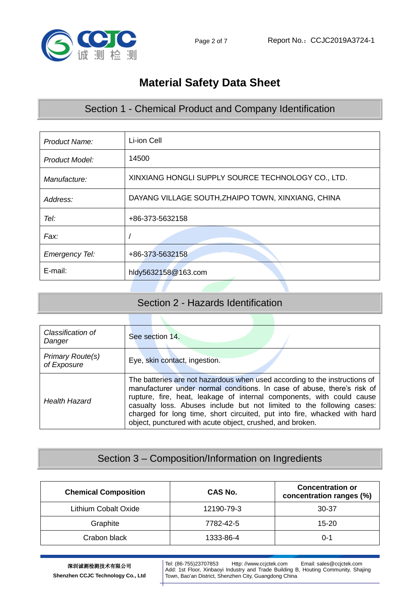

# **Material Safety Data Sheet**

## Section 1 - Chemical Product and Company Identification

| Product Name:         | Li-ion Cell                                        |
|-----------------------|----------------------------------------------------|
| Product Model:        | 14500                                              |
| Manufacture:          | XINXIANG HONGLI SUPPLY SOURCE TECHNOLOGY CO., LTD. |
| Address:              | DAYANG VILLAGE SOUTH, ZHAIPO TOWN, XINXIANG, CHINA |
| Tel:                  | +86-373-5632158                                    |
| Fax:                  |                                                    |
| <b>Emergency Tel:</b> | +86-373-5632158                                    |
| E-mail:               | hldy5632158@163.com                                |

#### Section 2 - Hazards Identification

| Classification of<br>Danger     | See section 14.                                                                                                                                                                                                                                                                                                                                                                                                                                  |
|---------------------------------|--------------------------------------------------------------------------------------------------------------------------------------------------------------------------------------------------------------------------------------------------------------------------------------------------------------------------------------------------------------------------------------------------------------------------------------------------|
| Primary Route(s)<br>of Exposure | Eye, skin contact, ingestion.                                                                                                                                                                                                                                                                                                                                                                                                                    |
| <b>Health Hazard</b>            | The batteries are not hazardous when used according to the instructions of<br>manufacturer under normal conditions. In case of abuse, there's risk of<br>rupture, fire, heat, leakage of internal components, with could cause<br>casualty loss. Abuses include but not limited to the following cases:<br>charged for long time, short circuited, put into fire, whacked with hard<br>object, punctured with acute object, crushed, and broken. |

## Section 3 – Composition/Information on Ingredients

| <b>Chemical Composition</b> | CAS No.    | <b>Concentration or</b><br>concentration ranges (%) |
|-----------------------------|------------|-----------------------------------------------------|
| Lithium Cobalt Oxide        | 12190-79-3 | 30-37                                               |
| Graphite                    | 7782-42-5  | $15 - 20$                                           |
| Crabon black                | 1333-86-4  | $0 - 1$                                             |

Tel: (86-755)23707853 Http: //www.ccjctek.com Email: sales@ccjctek.com Add: 1st Floor, Xinbaoyi Industry and Trade Building B, Houting Community, Shajing Town, Bao'an District, Shenzhen City, Guangdong China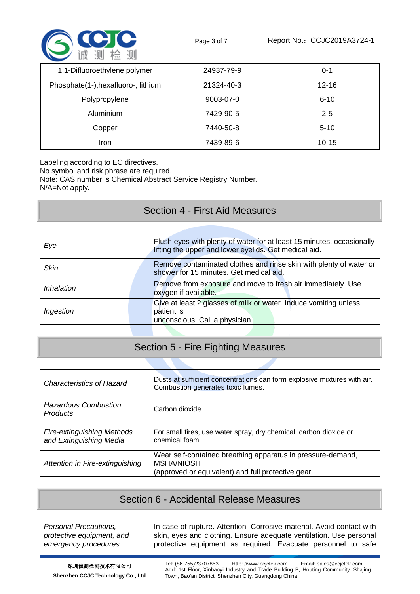

| 1,1-Difluoroethylene polymer        | 24937-79-9 | $0 - 1$   |
|-------------------------------------|------------|-----------|
| Phosphate(1-), hexafluoro-, lithium | 21324-40-3 | $12 - 16$ |
| Polypropylene                       | 9003-07-0  | $6 - 10$  |
| Aluminium                           | 7429-90-5  | $2 - 5$   |
| Copper                              | 7440-50-8  | $5 - 10$  |
| Iron                                | 7439-89-6  | $10 - 15$ |

Labeling according to EC directives.

No symbol and risk phrase are required.

Note: CAS number is Chemical Abstract Service Registry Number.

N/A=Not apply.

#### Section 4 - First Aid Measures

| Eye         | Flush eyes with plenty of water for at least 15 minutes, occasionally<br>lifting the upper and lower eyelids. Get medical aid. |
|-------------|--------------------------------------------------------------------------------------------------------------------------------|
| <b>Skin</b> | Remove contaminated clothes and rinse skin with plenty of water or<br>shower for 15 minutes. Get medical aid.                  |
| Inhalation  | Remove from exposure and move to fresh air immediately. Use<br>oxygen if available.                                            |
| Ingestion   | Give at least 2 glasses of milk or water. Induce vomiting unless<br>patient is<br>unconscious. Call a physician.               |

# Section 5 - Fire Fighting Measures

| <b>Characteristics of Hazard</b>                             | Dusts at sufficient concentrations can form explosive mixtures with air.<br>Combustion generates toxic fumes.                          |
|--------------------------------------------------------------|----------------------------------------------------------------------------------------------------------------------------------------|
| <b>Hazardous Combustion</b><br><b>Products</b>               | Carbon dioxide.                                                                                                                        |
| <b>Fire-extinguishing Methods</b><br>and Extinguishing Media | For small fires, use water spray, dry chemical, carbon dioxide or<br>chemical foam.                                                    |
| Attention in Fire-extinguishing                              | Wear self-contained breathing apparatus in pressure-demand,<br><b>MSHA/NIOSH</b><br>(approved or equivalent) and full protective gear. |

#### Section 6 - Accidental Release Measures

| Personal Precautions,     | In case of rupture. Attention! Corrosive material. Avoid contact with |
|---------------------------|-----------------------------------------------------------------------|
| protective equipment, and | skin, eyes and clothing. Ensure adequate ventilation. Use personal    |
| emergency procedures      | protective equipment as required. Evacuate personnel to safe          |

深圳诚测检测技术有限公司 **Shenzhen CCJC Technology Co., Ltd** Tel: (86-755)23707853 Http: //www.ccjctek.com Email: sales@ccjctek.com Add: 1st Floor, Xinbaoyi Industry and Trade Building B, Houting Community, Shajing Town, Bao'an District, Shenzhen City, Guangdong China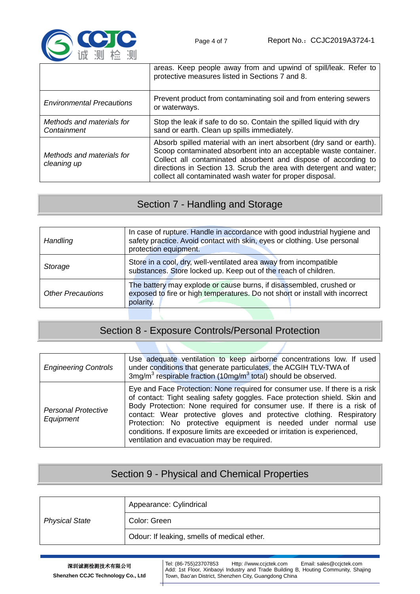

|                                          | areas. Keep people away from and upwind of spill/leak. Refer to<br>protective measures listed in Sections 7 and 8.                                                                                                                                                                                                                           |
|------------------------------------------|----------------------------------------------------------------------------------------------------------------------------------------------------------------------------------------------------------------------------------------------------------------------------------------------------------------------------------------------|
| <b>Environmental Precautions</b>         | Prevent product from contaminating soil and from entering sewers<br>or waterways.                                                                                                                                                                                                                                                            |
| Methods and materials for<br>Containment | Stop the leak if safe to do so. Contain the spilled liquid with dry<br>sand or earth. Clean up spills immediately.                                                                                                                                                                                                                           |
| Methods and materials for<br>cleaning up | Absorb spilled material with an inert absorbent (dry sand or earth).<br>Scoop contaminated absorbent into an acceptable waste container.<br>Collect all contaminated absorbent and dispose of according to<br>directions in Section 13. Scrub the area with detergent and water;<br>collect all contaminated wash water for proper disposal. |

# Section 7 - Handling and Storage

| Handling                 | In case of rupture. Handle in accordance with good industrial hygiene and<br>safety practice. Avoid contact with skin, eyes or clothing. Use personal<br>protection equipment. |
|--------------------------|--------------------------------------------------------------------------------------------------------------------------------------------------------------------------------|
| Storage                  | Store in a cool, dry, well-ventilated area away from incompatible<br>substances. Store locked up. Keep out of the reach of children.                                           |
| <b>Other Precautions</b> | The battery may explode or cause burns, if disassembled, crushed or<br>exposed to fire or high temperatures. Do not short or install with incorrect<br>polarity.               |

# Section 8 - Exposure Controls/Personal Protection

| <b>Engineering Controls</b>             | Use adequate ventilation to keep airborne concentrations low. If used<br>under conditions that generate particulates, the ACGIH TLV-TWA of<br>3mg/m <sup>3</sup> respirable fraction (10mg/m <sup>3</sup> total) should be observed.                                                                                                                                                                                                                                                                      |
|-----------------------------------------|-----------------------------------------------------------------------------------------------------------------------------------------------------------------------------------------------------------------------------------------------------------------------------------------------------------------------------------------------------------------------------------------------------------------------------------------------------------------------------------------------------------|
| <b>Personal Protective</b><br>Equipment | Eye and Face Protection: None required for consumer use. If there is a risk<br>of contact: Tight sealing safety goggles. Face protection shield. Skin and<br>Body Protection: None required for consumer use. If there is a risk of<br>contact: Wear protective gloves and protective clothing. Respiratory<br>Protection: No protective equipment is needed under normal use<br>conditions. If exposure limits are exceeded or irritation is experienced,<br>ventilation and evacuation may be required. |

## Section 9 - Physical and Chemical Properties

|                       | Appearance: Cylindrical                     |
|-----------------------|---------------------------------------------|
| <b>Physical State</b> | Color: Green                                |
|                       | Odour: If leaking, smells of medical ether. |

#### 深圳诚测检测技术有限公司

**Shenzhen CCJC Technology Co., Ltd**

Tel: (86-755)23707853 Http: //www.ccjctek.com Email: sales@ccjctek.com Add: 1st Floor, Xinbaoyi Industry and Trade Building B, Houting Community, Shajing Town, Bao'an District, Shenzhen City, Guangdong China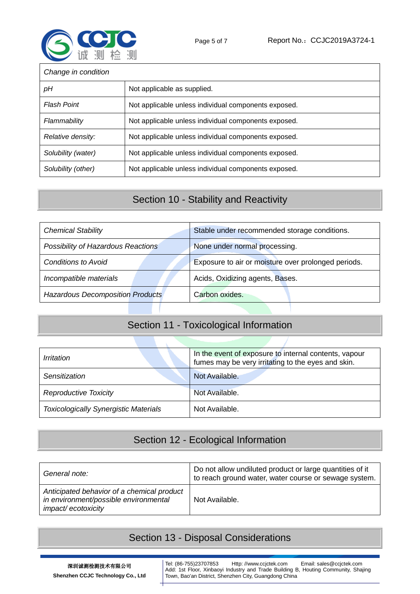

| Change in condition |                                                      |  |
|---------------------|------------------------------------------------------|--|
| pН                  | Not applicable as supplied.                          |  |
| <b>Flash Point</b>  | Not applicable unless individual components exposed. |  |
| Flammability        | Not applicable unless individual components exposed. |  |
| Relative density:   | Not applicable unless individual components exposed. |  |
| Solubility (water)  | Not applicable unless individual components exposed. |  |
| Solubility (other)  | Not applicable unless individual components exposed. |  |

## Section 10 - Stability and Reactivity

| <b>Chemical Stability</b>               | Stable under recommended storage conditions.        |
|-----------------------------------------|-----------------------------------------------------|
| Possibility of Hazardous Reactions      | None under normal processing.                       |
| <b>Conditions to Avoid</b>              | Exposure to air or moisture over prolonged periods. |
| Incompatible materials                  | Acids, Oxidizing agents, Bases.                     |
| <b>Hazardous Decomposition Products</b> | Carbon oxides.                                      |

# Section 11 - Toxicological Information

| Irritation                                   | In the event of exposure to internal contents, vapour<br>fumes may be very irritating to the eyes and skin. |
|----------------------------------------------|-------------------------------------------------------------------------------------------------------------|
| Sensitization                                | Not Available.                                                                                              |
| <b>Reproductive Toxicity</b>                 | Not Available.                                                                                              |
| <b>Toxicologically Synergistic Materials</b> | Not Available.                                                                                              |

# Section 12 - Ecological Information

| General note:                                                                                             | Do not allow undiluted product or large quantities of it<br>to reach ground water, water course or sewage system. |
|-----------------------------------------------------------------------------------------------------------|-------------------------------------------------------------------------------------------------------------------|
| Anticipated behavior of a chemical product<br>in environment/possible environmental<br>impact/ecotoxicity | Not Available.                                                                                                    |

## Section 13 - Disposal Considerations

Tel: (86-755)23707853 Http: //www.ccjctek.com Email: sales@ccjctek.com Add: 1st Floor, Xinbaoyi Industry and Trade Building B, Houting Community, Shajing Town, Bao'an District, Shenzhen City, Guangdong China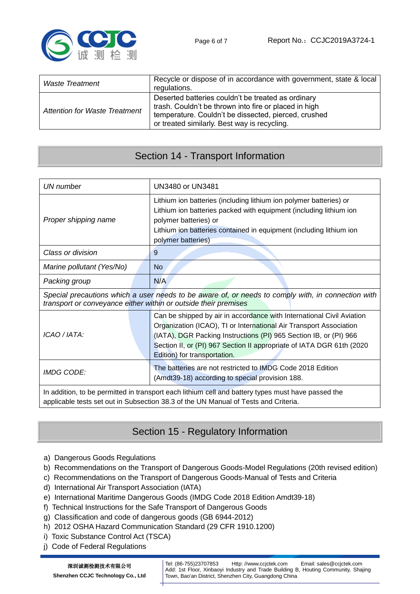

| Waste Treatment               | Recycle or dispose of in accordance with government, state & local<br>regulations.                                                                                                                                  |
|-------------------------------|---------------------------------------------------------------------------------------------------------------------------------------------------------------------------------------------------------------------|
| Attention for Waste Treatment | Deserted batteries couldn't be treated as ordinary<br>trash. Couldn't be thrown into fire or placed in high<br>temperature. Couldn't be dissected, pierced, crushed<br>or treated similarly. Best way is recycling. |

#### Section 14 - Transport Information

| <b>UN</b> number                                                                                                                                                                          | <b>UN3480 or UN3481</b>                                                                                                                                                                                                                                                                                                   |  |
|-------------------------------------------------------------------------------------------------------------------------------------------------------------------------------------------|---------------------------------------------------------------------------------------------------------------------------------------------------------------------------------------------------------------------------------------------------------------------------------------------------------------------------|--|
| Proper shipping name                                                                                                                                                                      | Lithium ion batteries (including lithium ion polymer batteries) or<br>Lithium ion batteries packed with equipment (including lithium ion<br>polymer batteries) or<br>Lithium ion batteries contained in equipment (including lithium ion<br>polymer batteries)                                                            |  |
| Class or division                                                                                                                                                                         | 9                                                                                                                                                                                                                                                                                                                         |  |
| Marine pollutant (Yes/No)                                                                                                                                                                 | No                                                                                                                                                                                                                                                                                                                        |  |
| Packing group                                                                                                                                                                             | N/A                                                                                                                                                                                                                                                                                                                       |  |
| Special precautions which a user needs to be aware of, or needs to comply with, in connection with<br>transport or conveyance either within or outside their premises                     |                                                                                                                                                                                                                                                                                                                           |  |
| ICAO / IATA:                                                                                                                                                                              | Can be shipped by air in accordance with International Civil Aviation<br>Organization (ICAO), TI or International Air Transport Association<br>(IATA), DGR Packing Instructions (PI) 965 Section IB, or (PI) 966<br>Section II, or (PI) 967 Section II appropriate of IATA DGR 61th (2020<br>Edition) for transportation. |  |
| <b>IMDG CODE:</b>                                                                                                                                                                         | The batteries are not restricted to IMDG Code 2018 Edition<br>(Amdt39-18) according to special provision 188.                                                                                                                                                                                                             |  |
| In addition, to be permitted in transport each lithium cell and battery types must have passed the<br>applicable tests set out in Subsection 38.3 of the UN Manual of Tests and Criteria. |                                                                                                                                                                                                                                                                                                                           |  |

### Section 15 - Regulatory Information

- a) Dangerous Goods Regulations
- b) Recommendations on the Transport of Dangerous Goods-Model Regulations (20th revised edition)
- c) Recommendations on the Transport of Dangerous Goods-Manual of Tests and Criteria
- d) International Air Transport Association (IATA)
- e) International Maritime Dangerous Goods (IMDG Code 2018 Edition Amdt39-18)
- f) Technical Instructions for the Safe Transport of Dangerous Goods
- g) Classification and code of dangerous goods (GB 6944-2012)
- h) 2012 OSHA Hazard Communication Standard (29 CFR 1910.1200)
- i) Toxic Substance Control Act (TSCA)
- j) Code of Federal Regulations